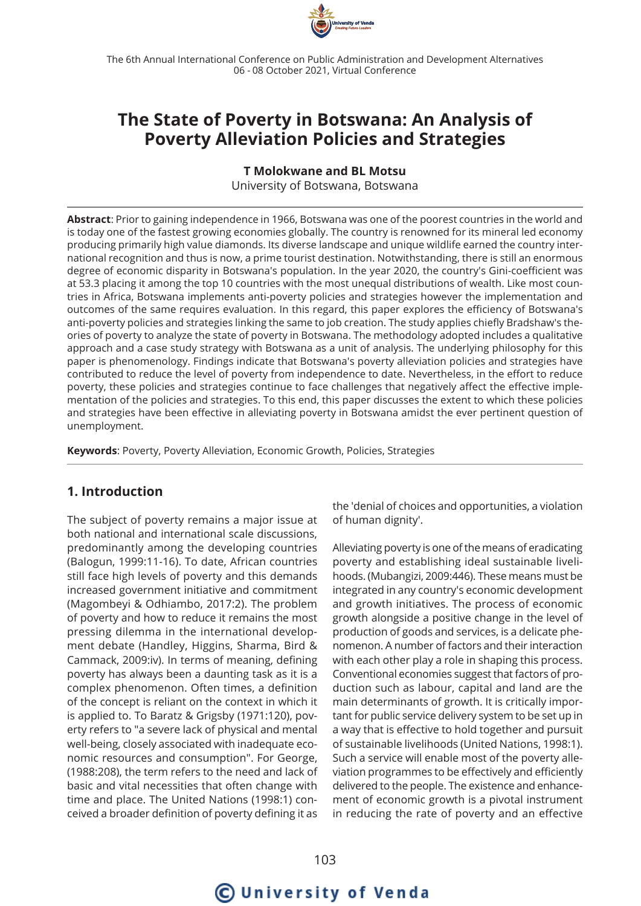

The 6th Annual International Conference on Public Administration and Development Alternatives 06 - 08 October 2021, Virtual Conference

## **The State of Poverty in Botswana: An Analysis of Poverty Alleviation Policies and Strategies**

#### **T Molokwane and BL Motsu**

University of Botswana, Botswana

**Abstract**: Prior to gaining independence in 1966, Botswana was one of the poorest countries in the world and is today one of the fastest growing economies globally. The country is renowned for its mineral led economy producing primarily high value diamonds. Its diverse landscape and unique wildlife earned the country international recognition and thus is now, a prime tourist destination. Notwithstanding, there is still an enormous degree of economic disparity in Botswana's population. In the year 2020, the country's Gini-coefficient was at 53.3 placing it among the top 10 countries with the most unequal distributions of wealth. Like most countries in Africa, Botswana implements anti-poverty policies and strategies however the implementation and outcomes of the same requires evaluation. In this regard, this paper explores the efficiency of Botswana's anti-poverty policies and strategies linking the same to job creation. The study applies chiefly Bradshaw's theories of poverty to analyze the state of poverty in Botswana. The methodology adopted includes a qualitative approach and a case study strategy with Botswana as a unit of analysis. The underlying philosophy for this paper is phenomenology. Findings indicate that Botswana's poverty alleviation policies and strategies have contributed to reduce the level of poverty from independence to date. Nevertheless, in the effort to reduce poverty, these policies and strategies continue to face challenges that negatively affect the effective implementation of the policies and strategies. To this end, this paper discusses the extent to which these policies and strategies have been effective in alleviating poverty in Botswana amidst the ever pertinent question of unemployment.

**Keywords**: Poverty, Poverty Alleviation, Economic Growth, Policies, Strategies

## **1. Introduction**

The subject of poverty remains a major issue at both national and international scale discussions, predominantly among the developing countries (Balogun, 1999:11-16). To date, African countries still face high levels of poverty and this demands increased government initiative and commitment (Magombeyi & Odhiambo, 2017:2). The problem of poverty and how to reduce it remains the most pressing dilemma in the international development debate (Handley, Higgins, Sharma, Bird & Cammack, 2009:iv). In terms of meaning, defining poverty has always been a daunting task as it is a complex phenomenon. Often times, a definition of the concept is reliant on the context in which it is applied to. To Baratz & Grigsby (1971:120), poverty refers to "a severe lack of physical and mental well-being, closely associated with inadequate economic resources and consumption". For George, (1988:208), the term refers to the need and lack of basic and vital necessities that often change with time and place. The United Nations (1998:1) conceived a broader definition of poverty defining it as

the 'denial of choices and opportunities, a violation of human dignity'.

Alleviating poverty is one of the means of eradicating poverty and establishing ideal sustainable livelihoods. (Mubangizi, 2009:446). These means must be integrated in any country's economic development and growth initiatives. The process of economic growth alongside a positive change in the level of production of goods and services, is a delicate phenomenon. A number of factors and their interaction with each other play a role in shaping this process. Conventional economies suggest that factors of production such as labour, capital and land are the main determinants of growth. It is critically important for public service delivery system to be set up in a way that is effective to hold together and pursuit of sustainable livelihoods (United Nations, 1998:1). Such a service will enable most of the poverty alleviation programmes to be effectively and efficiently delivered to the people. The existence and enhancement of economic growth is a pivotal instrument in reducing the rate of poverty and an effective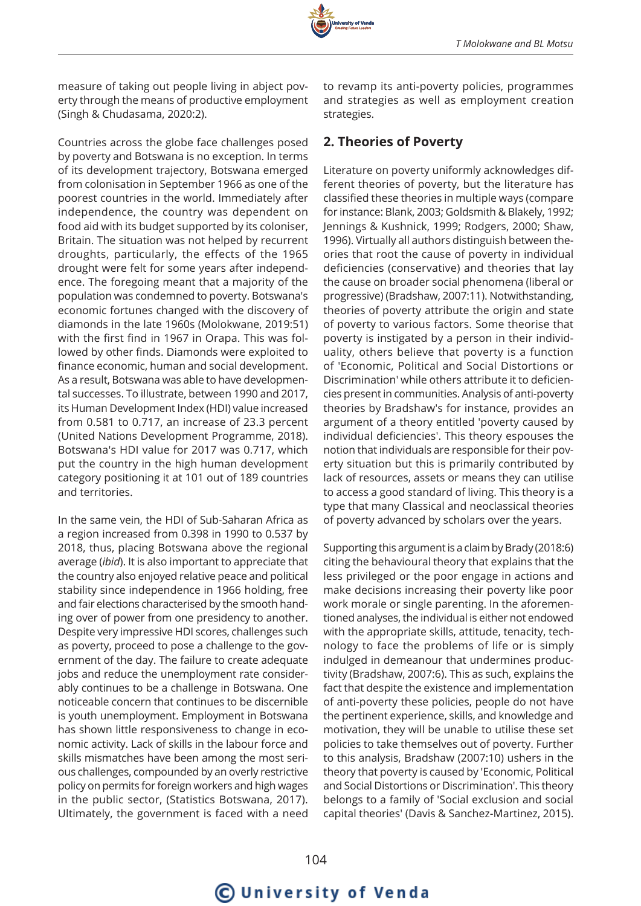

measure of taking out people living in abject poverty through the means of productive employment (Singh & Chudasama, 2020:2).

Countries across the globe face challenges posed by poverty and Botswana is no exception. In terms of its development trajectory, Botswana emerged from colonisation in September 1966 as one of the poorest countries in the world. Immediately after independence, the country was dependent on food aid with its budget supported by its coloniser, Britain. The situation was not helped by recurrent droughts, particularly, the effects of the 1965 drought were felt for some years after independence. The foregoing meant that a majority of the population was condemned to poverty. Botswana's economic fortunes changed with the discovery of diamonds in the late 1960s (Molokwane, 2019:51) with the first find in 1967 in Orapa. This was followed by other finds. Diamonds were exploited to finance economic, human and social development. As a result, Botswana was able to have developmental successes. To illustrate, between 1990 and 2017, its Human Development Index (HDI) value increased from 0.581 to 0.717, an increase of 23.3 percent (United Nations Development Programme, 2018). Botswana's HDI value for 2017 was 0.717, which put the country in the high human development category positioning it at 101 out of 189 countries and territories.

In the same vein, the HDI of Sub-Saharan Africa as a region increased from 0.398 in 1990 to 0.537 by 2018, thus, placing Botswana above the regional average (*ibid*). It is also important to appreciate that the country also enjoyed relative peace and political stability since independence in 1966 holding, free and fair elections characterised by the smooth handing over of power from one presidency to another. Despite very impressive HDI scores, challenges such as poverty, proceed to pose a challenge to the government of the day. The failure to create adequate jobs and reduce the unemployment rate considerably continues to be a challenge in Botswana. One noticeable concern that continues to be discernible is youth unemployment. Employment in Botswana has shown little responsiveness to change in economic activity. Lack of skills in the labour force and skills mismatches have been among the most serious challenges, compounded by an overly restrictive policy on permits for foreign workers and high wages in the public sector, (Statistics Botswana, 2017). Ultimately, the government is faced with a need

to revamp its anti-poverty policies, programmes and strategies as well as employment creation strategies.

## **2. Theories of Poverty**

Literature on poverty uniformly acknowledges different theories of poverty, but the literature has classified these theories in multiple ways (compare for instance: Blank, 2003; Goldsmith & Blakely, 1992; Jennings & Kushnick, 1999; Rodgers, 2000; Shaw, 1996). Virtually all authors distinguish between theories that root the cause of poverty in individual deficiencies (conservative) and theories that lay the cause on broader social phenomena (liberal or progressive) (Bradshaw, 2007:11). Notwithstanding, theories of poverty attribute the origin and state of poverty to various factors. Some theorise that poverty is instigated by a person in their individuality, others believe that poverty is a function of 'Economic, Political and Social Distortions or Discrimination' while others attribute it to deficiencies present in communities. Analysis of anti-poverty theories by Bradshaw's for instance, provides an argument of a theory entitled 'poverty caused by individual deficiencies'. This theory espouses the notion that individuals are responsible for their poverty situation but this is primarily contributed by lack of resources, assets or means they can utilise to access a good standard of living. This theory is a type that many Classical and neoclassical theories of poverty advanced by scholars over the years.

Supporting this argument is a claim by Brady (2018:6) citing the behavioural theory that explains that the less privileged or the poor engage in actions and make decisions increasing their poverty like poor work morale or single parenting. In the aforementioned analyses, the individual is either not endowed with the appropriate skills, attitude, tenacity, technology to face the problems of life or is simply indulged in demeanour that undermines productivity (Bradshaw, 2007:6). This as such, explains the fact that despite the existence and implementation of anti-poverty these policies, people do not have the pertinent experience, skills, and knowledge and motivation, they will be unable to utilise these set policies to take themselves out of poverty. Further to this analysis, Bradshaw (2007:10) ushers in the theory that poverty is caused by 'Economic, Political and Social Distortions or Discrimination'. This theory belongs to a family of 'Social exclusion and social capital theories' (Davis & Sanchez-Martinez, 2015).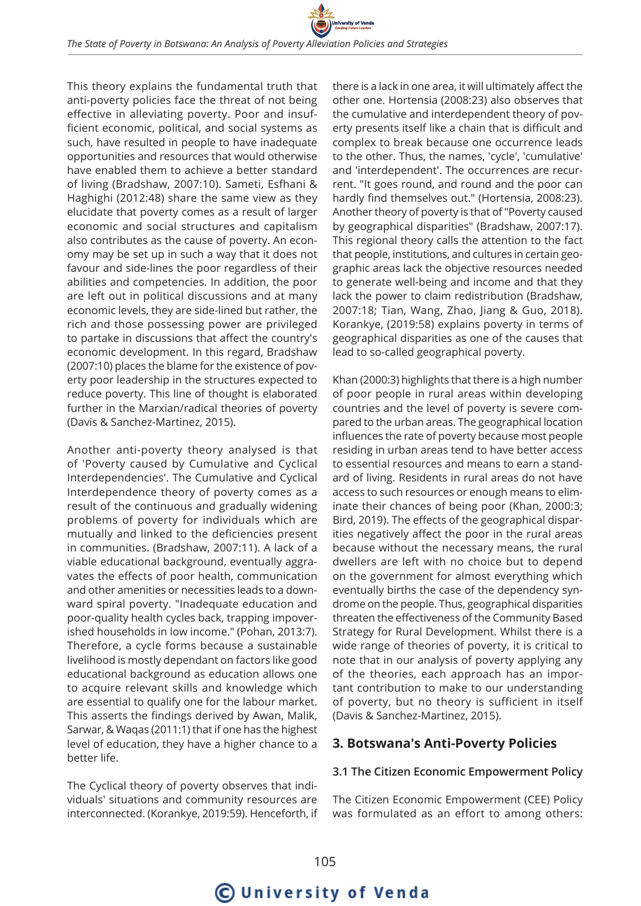This theory explains the fundamental truth that anti-poverty policies face the threat of not being effective in alleviating poverty. Poor and insufficient economic, political, and social systems as such, have resulted in people to have inadequate opportunities and resources that would otherwise have enabled them to achieve a better standard of living (Bradshaw, 2007:10). Sameti, Esfhani & Haghighi (2012:48) share the same view as they elucidate that poverty comes as a result of larger economic and social structures and capitalism also contributes as the cause of poverty. An economy may be set up in such a way that it does not favour and side-lines the poor regardless of their abilities and competencies. In addition, the poor are left out in political discussions and at many economic levels, they are side-lined but rather, the rich and those possessing power are privileged to partake in discussions that affect the country's economic development. In this regard, Bradshaw (2007:10) places the blame for the existence of poverty poor leadership in the structures expected to reduce poverty. This line of thought is elaborated further in the Marxian/radical theories of poverty (Davis & Sanchez-Martinez, 2015).

Another anti-poverty theory analysed is that of 'Poverty caused by Cumulative and Cyclical Interdependencies'. The Cumulative and Cyclical Interdependence theory of poverty comes as a result of the continuous and gradually widening problems of poverty for individuals which are mutually and linked to the deficiencies present in communities. (Bradshaw, 2007:11). A lack of a viable educational background, eventually aggravates the effects of poor health, communication and other amenities or necessities leads to a downward spiral poverty. "Inadequate education and poor-quality health cycles back, trapping impoverished households in low income." (Pohan, 2013:7). Therefore, a cycle forms because a sustainable livelihood is mostly dependant on factors like good educational background as education allows one to acquire relevant skills and knowledge which are essential to qualify one for the labour market. This asserts the findings derived by Awan, Malik, Sarwar, & Waqas (2011:1) that if one has the highest level of education, they have a higher chance to a better life.

The Cyclical theory of poverty observes that individuals' situations and community resources are interconnected. (Korankye, 2019:59). Henceforth, if

there is a lack in one area, it will ultimately affect the other one. Hortensia (2008:23) also observes that the cumulative and interdependent theory of poverty presents itself like a chain that is difficult and complex to break because one occurrence leads to the other. Thus, the names, 'cycle', 'cumulative' and 'interdependent'. The occurrences are recurrent. "It goes round, and round and the poor can hardly find themselves out." (Hortensia, 2008:23). Another theory of poverty is that of "Poverty caused by geographical disparities" (Bradshaw, 2007:17). This regional theory calls the attention to the fact that people, institutions, and cultures in certain geographic areas lack the objective resources needed to generate well-being and income and that they lack the power to claim redistribution (Bradshaw, 2007:18; Tian, Wang, Zhao, Jiang & Guo, 2018). Korankye, (2019:58) explains poverty in terms of geographical disparities as one of the causes that lead to so-called geographical poverty.

Khan (2000:3) highlights that there is a high number of poor people in rural areas within developing countries and the level of poverty is severe compared to the urban areas. The geographical location influences the rate of poverty because most people residing in urban areas tend to have better access to essential resources and means to earn a standard of living. Residents in rural areas do not have access to such resources or enough means to eliminate their chances of being poor (Khan, 2000:3; Bird, 2019). The effects of the geographical disparities negatively affect the poor in the rural areas because without the necessary means, the rural dwellers are left with no choice but to depend on the government for almost everything which eventually births the case of the dependency syndrome on the people. Thus, geographical disparities threaten the effectiveness of the Community Based Strategy for Rural Development. Whilst there is a wide range of theories of poverty, it is critical to note that in our analysis of poverty applying any of the theories, each approach has an important contribution to make to our understanding of poverty, but no theory is sufficient in itself (Davis & Sanchez-Martinez, 2015).

## **3. Botswana's Anti-Poverty Policies**

#### **3.1 The Citizen Economic Empowerment Policy**

The Citizen Economic Empowerment (CEE) Policy was formulated as an effort to among others:

C University of Venda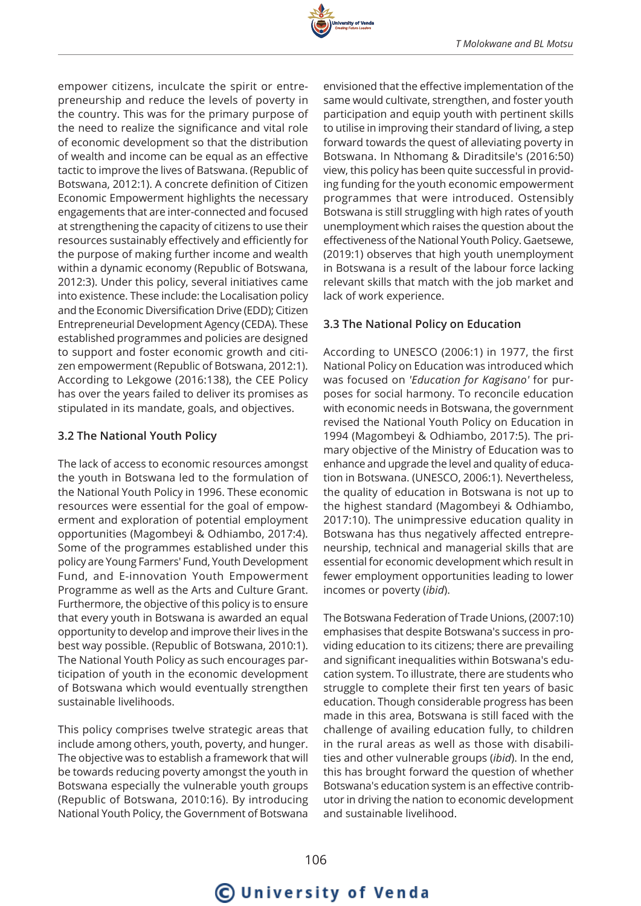

empower citizens, inculcate the spirit or entrepreneurship and reduce the levels of poverty in the country. This was for the primary purpose of the need to realize the significance and vital role of economic development so that the distribution of wealth and income can be equal as an effective tactic to improve the lives of Batswana. (Republic of Botswana, 2012:1). A concrete definition of Citizen Economic Empowerment highlights the necessary engagements that are inter-connected and focused at strengthening the capacity of citizens to use their resources sustainably effectively and efficiently for the purpose of making further income and wealth within a dynamic economy (Republic of Botswana, 2012:3). Under this policy, several initiatives came into existence. These include: the Localisation policy and the Economic Diversification Drive (EDD); Citizen Entrepreneurial Development Agency (CEDA). These established programmes and policies are designed to support and foster economic growth and citizen empowerment (Republic of Botswana, 2012:1). According to Lekgowe (2016:138), the CEE Policy has over the years failed to deliver its promises as stipulated in its mandate, goals, and objectives.

#### **3.2 The National Youth Policy**

The lack of access to economic resources amongst the youth in Botswana led to the formulation of the National Youth Policy in 1996. These economic resources were essential for the goal of empowerment and exploration of potential employment opportunities (Magombeyi & Odhiambo, 2017:4). Some of the programmes established under this policy are Young Farmers' Fund, Youth Development Fund, and E-innovation Youth Empowerment Programme as well as the Arts and Culture Grant. Furthermore, the objective of this policy is to ensure that every youth in Botswana is awarded an equal opportunity to develop and improve their lives in the best way possible. (Republic of Botswana, 2010:1). The National Youth Policy as such encourages participation of youth in the economic development of Botswana which would eventually strengthen sustainable livelihoods.

This policy comprises twelve strategic areas that include among others, youth, poverty, and hunger. The objective was to establish a framework that will be towards reducing poverty amongst the youth in Botswana especially the vulnerable youth groups (Republic of Botswana, 2010:16). By introducing National Youth Policy, the Government of Botswana

envisioned that the effective implementation of the same would cultivate, strengthen, and foster youth participation and equip youth with pertinent skills to utilise in improving their standard of living, a step forward towards the quest of alleviating poverty in Botswana. In Nthomang & Diraditsile's (2016:50) view, this policy has been quite successful in providing funding for the youth economic empowerment programmes that were introduced. Ostensibly Botswana is still struggling with high rates of youth unemployment which raises the question about the effectiveness of the National Youth Policy. Gaetsewe, (2019:1) observes that high youth unemployment in Botswana is a result of the labour force lacking relevant skills that match with the job market and lack of work experience.

## **3.3 The National Policy on Education**

According to UNESCO (2006:1) in 1977, the first National Policy on Education was introduced which was focused on *'Education for Kagisano'* for purposes for social harmony. To reconcile education with economic needs in Botswana, the government revised the National Youth Policy on Education in 1994 (Magombeyi & Odhiambo, 2017:5). The primary objective of the Ministry of Education was to enhance and upgrade the level and quality of education in Botswana. (UNESCO, 2006:1). Nevertheless, the quality of education in Botswana is not up to the highest standard (Magombeyi & Odhiambo, 2017:10). The unimpressive education quality in Botswana has thus negatively affected entrepreneurship, technical and managerial skills that are essential for economic development which result in fewer employment opportunities leading to lower incomes or poverty (*ibid*).

The Botswana Federation of Trade Unions, (2007:10) emphasises that despite Botswana's success in providing education to its citizens; there are prevailing and significant inequalities within Botswana's education system. To illustrate, there are students who struggle to complete their first ten years of basic education. Though considerable progress has been made in this area, Botswana is still faced with the challenge of availing education fully, to children in the rural areas as well as those with disabilities and other vulnerable groups (*ibid*). In the end, this has brought forward the question of whether Botswana's education system is an effective contributor in driving the nation to economic development and sustainable livelihood.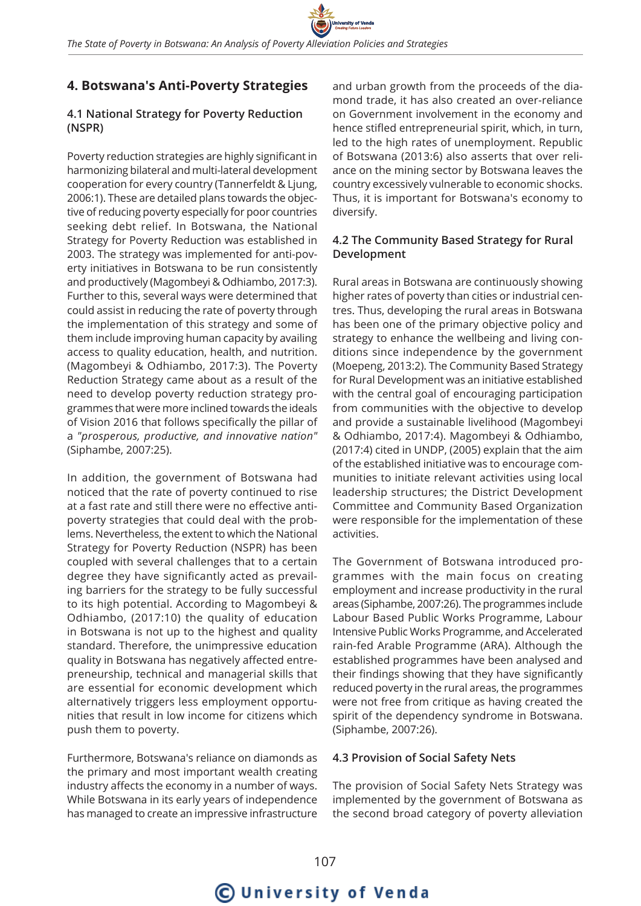## **4. Botswana's Anti-Poverty Strategies**

#### **4.1 National Strategy for Poverty Reduction (NSPR)**

Poverty reduction strategies are highly significant in harmonizing bilateral and multi-lateral development cooperation for every country (Tannerfeldt & Ljung, 2006:1). These are detailed plans towards the objective of reducing poverty especially for poor countries seeking debt relief. In Botswana, the National Strategy for Poverty Reduction was established in 2003. The strategy was implemented for anti-poverty initiatives in Botswana to be run consistently and productively (Magombeyi & Odhiambo, 2017:3). Further to this, several ways were determined that could assist in reducing the rate of poverty through the implementation of this strategy and some of them include improving human capacity by availing access to quality education, health, and nutrition. (Magombeyi & Odhiambo, 2017:3). The Poverty Reduction Strategy came about as a result of the need to develop poverty reduction strategy programmes that were more inclined towards the ideals of Vision 2016 that follows specifically the pillar of a *"prosperous, productive, and innovative nation"* (Siphambe, 2007:25).

In addition, the government of Botswana had noticed that the rate of poverty continued to rise at a fast rate and still there were no effective antipoverty strategies that could deal with the problems. Nevertheless, the extent to which the National Strategy for Poverty Reduction (NSPR) has been coupled with several challenges that to a certain degree they have significantly acted as prevailing barriers for the strategy to be fully successful to its high potential. According to Magombeyi & Odhiambo, (2017:10) the quality of education in Botswana is not up to the highest and quality standard. Therefore, the unimpressive education quality in Botswana has negatively affected entrepreneurship, technical and managerial skills that are essential for economic development which alternatively triggers less employment opportunities that result in low income for citizens which push them to poverty.

Furthermore, Botswana's reliance on diamonds as the primary and most important wealth creating industry affects the economy in a number of ways. While Botswana in its early years of independence has managed to create an impressive infrastructure

and urban growth from the proceeds of the diamond trade, it has also created an over-reliance on Government involvement in the economy and hence stifled entrepreneurial spirit, which, in turn, led to the high rates of unemployment. Republic of Botswana (2013:6) also asserts that over reliance on the mining sector by Botswana leaves the country excessively vulnerable to economic shocks. Thus, it is important for Botswana's economy to diversify.

#### **4.2 The Community Based Strategy for Rural Development**

Rural areas in Botswana are continuously showing higher rates of poverty than cities or industrial centres. Thus, developing the rural areas in Botswana has been one of the primary objective policy and strategy to enhance the wellbeing and living conditions since independence by the government (Moepeng, 2013:2). The Community Based Strategy for Rural Development was an initiative established with the central goal of encouraging participation from communities with the objective to develop and provide a sustainable livelihood (Magombeyi & Odhiambo, 2017:4). Magombeyi & Odhiambo, (2017:4) cited in UNDP, (2005) explain that the aim of the established initiative was to encourage communities to initiate relevant activities using local leadership structures; the District Development Committee and Community Based Organization were responsible for the implementation of these activities.

The Government of Botswana introduced programmes with the main focus on creating employment and increase productivity in the rural areas (Siphambe, 2007:26). The programmes include Labour Based Public Works Programme, Labour Intensive Public Works Programme, and Accelerated rain-fed Arable Programme (ARA). Although the established programmes have been analysed and their findings showing that they have significantly reduced poverty in the rural areas, the programmes were not free from critique as having created the spirit of the dependency syndrome in Botswana. (Siphambe, 2007:26).

#### **4.3 Provision of Social Safety Nets**

The provision of Social Safety Nets Strategy was implemented by the government of Botswana as the second broad category of poverty alleviation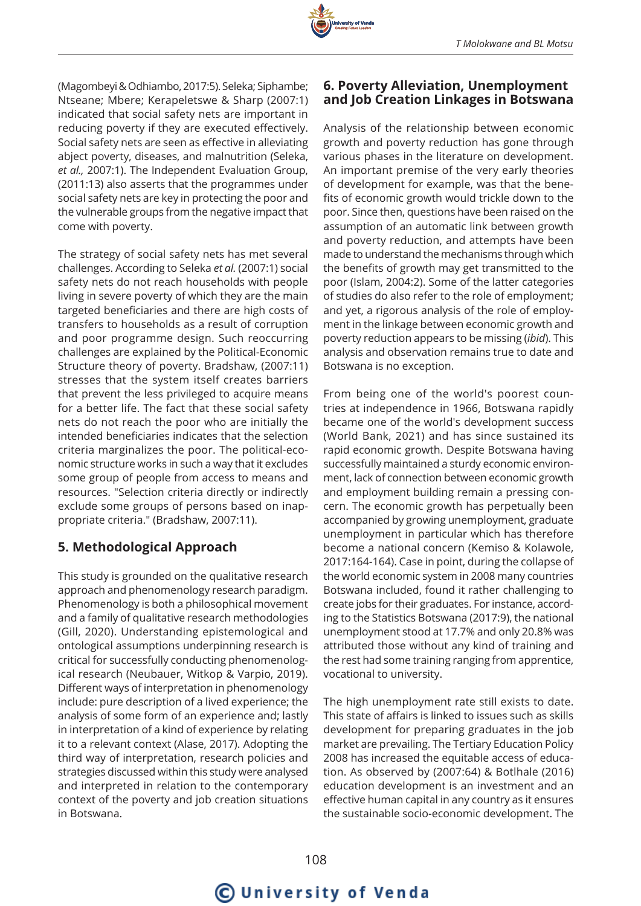

The strategy of social safety nets has met several challenges. According to Seleka *et al.* (2007:1) social safety nets do not reach households with people living in severe poverty of which they are the main targeted beneficiaries and there are high costs of transfers to households as a result of corruption and poor programme design. Such reoccurring challenges are explained by the Political-Economic Structure theory of poverty. Bradshaw, (2007:11) stresses that the system itself creates barriers that prevent the less privileged to acquire means for a better life. The fact that these social safety nets do not reach the poor who are initially the intended beneficiaries indicates that the selection criteria marginalizes the poor. The political-economic structure works in such a way that it excludes some group of people from access to means and resources. "Selection criteria directly or indirectly exclude some groups of persons based on inappropriate criteria." (Bradshaw, 2007:11).

## **5. Methodological Approach**

This study is grounded on the qualitative research approach and phenomenology research paradigm. Phenomenology is both a philosophical movement and a family of qualitative research methodologies (Gill, 2020). Understanding epistemological and ontological assumptions underpinning research is critical for successfully conducting phenomenological research (Neubauer, Witkop & Varpio, 2019). Different ways of interpretation in phenomenology include: pure description of a lived experience; the analysis of some form of an experience and; lastly in interpretation of a kind of experience by relating it to a relevant context (Alase, 2017). Adopting the third way of interpretation, research policies and strategies discussed within this study were analysed and interpreted in relation to the contemporary context of the poverty and job creation situations in Botswana.

### **6. Poverty Alleviation, Unemployment and Job Creation Linkages in Botswana**

Analysis of the relationship between economic growth and poverty reduction has gone through various phases in the literature on development. An important premise of the very early theories of development for example, was that the benefits of economic growth would trickle down to the poor. Since then, questions have been raised on the assumption of an automatic link between growth and poverty reduction, and attempts have been made to understand the mechanisms through which the benefits of growth may get transmitted to the poor (Islam, 2004:2). Some of the latter categories of studies do also refer to the role of employment; and yet, a rigorous analysis of the role of employment in the linkage between economic growth and poverty reduction appears to be missing (*ibid*). This analysis and observation remains true to date and Botswana is no exception.

From being one of the world's poorest countries at independence in 1966, Botswana rapidly became one of the world's development success (World Bank, 2021) and has since sustained its rapid economic growth. Despite Botswana having successfully maintained a sturdy economic environment, lack of connection between economic growth and employment building remain a pressing concern. The economic growth has perpetually been accompanied by growing unemployment, graduate unemployment in particular which has therefore become a national concern (Kemiso & Kolawole, 2017:164-164). Case in point, during the collapse of the world economic system in 2008 many countries Botswana included, found it rather challenging to create jobs for their graduates. For instance, according to the Statistics Botswana (2017:9), the national unemployment stood at 17.7% and only 20.8% was attributed those without any kind of training and the rest had some training ranging from apprentice, vocational to university.

The high unemployment rate still exists to date. This state of affairs is linked to issues such as skills development for preparing graduates in the job market are prevailing. The Tertiary Education Policy 2008 has increased the equitable access of education. As observed by (2007:64) & Botlhale (2016) education development is an investment and an effective human capital in any country as it ensures the sustainable socio-economic development. The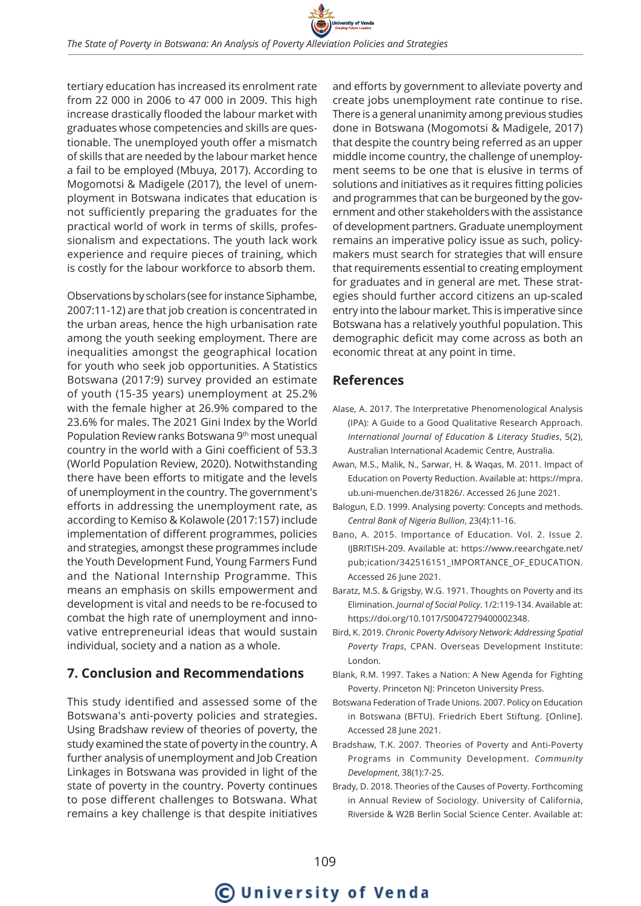tertiary education has increased its enrolment rate from 22 000 in 2006 to 47 000 in 2009. This high increase drastically flooded the labour market with graduates whose competencies and skills are questionable. The unemployed youth offer a mismatch of skills that are needed by the labour market hence a fail to be employed (Mbuya, 2017). According to Mogomotsi & Madigele (2017), the level of unemployment in Botswana indicates that education is not sufficiently preparing the graduates for the practical world of work in terms of skills, professionalism and expectations. The youth lack work experience and require pieces of training, which is costly for the labour workforce to absorb them.

Observations by scholars (see for instance Siphambe, 2007:11-12) are that job creation is concentrated in the urban areas, hence the high urbanisation rate among the youth seeking employment. There are inequalities amongst the geographical location for youth who seek job opportunities. A Statistics Botswana (2017:9) survey provided an estimate of youth (15-35 years) unemployment at 25.2% with the female higher at 26.9% compared to the 23.6% for males. The 2021 Gini Index by the World Population Review ranks Botswana 9th most unequal country in the world with a Gini coefficient of 53.3 (World Population Review, 2020). Notwithstanding there have been efforts to mitigate and the levels of unemployment in the country. The government's efforts in addressing the unemployment rate, as according to Kemiso & Kolawole (2017:157) include implementation of different programmes, policies and strategies, amongst these programmes include the Youth Development Fund, Young Farmers Fund and the National Internship Programme. This means an emphasis on skills empowerment and development is vital and needs to be re-focused to combat the high rate of unemployment and innovative entrepreneurial ideas that would sustain individual, society and a nation as a whole.

## **7. Conclusion and Recommendations**

This study identified and assessed some of the Botswana's anti-poverty policies and strategies. Using Bradshaw review of theories of poverty, the study examined the state of poverty in the country. A further analysis of unemployment and Job Creation Linkages in Botswana was provided in light of the state of poverty in the country. Poverty continues to pose different challenges to Botswana. What remains a key challenge is that despite initiatives

and efforts by government to alleviate poverty and create jobs unemployment rate continue to rise. There is a general unanimity among previous studies done in Botswana (Mogomotsi & Madigele, 2017) that despite the country being referred as an upper middle income country, the challenge of unemployment seems to be one that is elusive in terms of solutions and initiatives as it requires fitting policies and programmes that can be burgeoned by the government and other stakeholders with the assistance of development partners. Graduate unemployment remains an imperative policy issue as such, policymakers must search for strategies that will ensure that requirements essential to creating employment for graduates and in general are met. These strategies should further accord citizens an up-scaled entry into the labour market. This is imperative since Botswana has a relatively youthful population. This demographic deficit may come across as both an economic threat at any point in time.

## **References**

- Alase, A. 2017. The Interpretative Phenomenological Analysis (IPA): A Guide to a Good Qualitative Research Approach. *International Journal of Education & Literacy Studies*, 5(2), Australian International Academic Centre, Australia.
- Awan, M.S., Malik, N., Sarwar, H. & Waqas, M. 2011. Impact of Education on Poverty Reduction. Available at: https://mpra. ub.uni-muenchen.de/31826/. Accessed 26 June 2021.
- Balogun, E.D. 1999. Analysing poverty: Concepts and methods. *Central Bank of Nigeria Bullion*, 23(4):11-16.
- Bano, A. 2015. Importance of Education. Vol. 2. Issue 2. IJBRITISH-209. Available at: https://www.reearchgate.net/ pub;ication/342516151\_IMPORTANCE\_OF\_EDUCATION. Accessed 26 June 2021.
- Baratz, M.S. & Grigsby, W.G. 1971. Thoughts on Poverty and its Elimination. *Journal of Social Policy*. 1/2:119-134. Available at: https://doi.org/10.1017/S0047279400002348.
- Bird, K. 2019. *Chronic Poverty Advisory Network: Addressing Spatial Poverty Traps*, CPAN. Overseas Development Institute: London.
- Blank, R.M. 1997. Takes a Nation: A New Agenda for Fighting Poverty. Princeton NJ: Princeton University Press.
- Botswana Federation of Trade Unions. 2007. Policy on Education in Botswana (BFTU). Friedrich Ebert Stiftung. [Online]. Accessed 28 June 2021.
- Bradshaw, T.K. 2007. Theories of Poverty and Anti-Poverty Programs in Community Development. *Community Development*, 38(1):7-25.
- Brady, D. 2018. Theories of the Causes of Poverty. Forthcoming in Annual Review of Sociology. University of California, Riverside & W2B Berlin Social Science Center. Available at:

# C University of Venda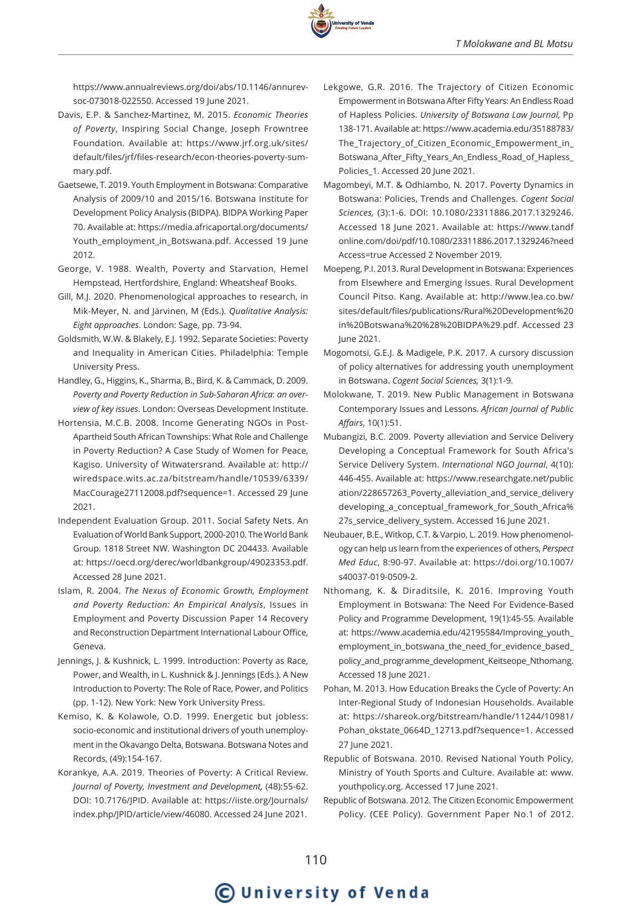

https://www.annualreviews.org/doi/abs/10.1146/annurevsoc-073018-022550. Accessed 19 June 2021.

- Davis, E.P. & Sanchez-Martinez, M. 2015. *Economic Theories of Poverty*, Inspiring Social Change, Joseph Frowntree Foundation. Available at: https://www.jrf.org.uk/sites/ default/files/jrf/files-research/econ-theories-poverty-summary.pdf.
- Gaetsewe, T. 2019. Youth Employment in Botswana: Comparative Analysis of 2009/10 and 2015/16. Botswana Institute for Development Policy Analysis (BIDPA). BIDPA Working Paper 70. Available at: https://media.africaportal.org/documents/ Youth\_employment\_in\_Botswana.pdf. Accessed 19 June 2012.
- George, V. 1988. Wealth, Poverty and Starvation, Hemel Hempstead, Hertfordshire, England: Wheatsheaf Books.
- Gill, M.J. 2020. Phenomenological approaches to research, in Mik-Meyer, N. and Järvinen, M (Eds.). *Qualitative Analysis: Eight approaches*. London: Sage, pp. 73-94.
- Goldsmith, W.W. & Blakely, E.J. 1992. Separate Societies: Poverty and Inequality in American Cities. Philadelphia: Temple University Press.
- Handley, G., Higgins, K., Sharma, B., Bird, K. & Cammack, D. 2009. *Poverty and Poverty Reduction in Sub-Saharan Africa*: *an overview of key issues*. London: Overseas Development Institute.
- Hortensia, M.C.B. 2008. Income Generating NGOs in Post-Apartheid South African Townships: What Role and Challenge in Poverty Reduction? A Case Study of Women for Peace, Kagiso. University of Witwatersrand. Available at: http:// wiredspace.wits.ac.za/bitstream/handle/10539/6339/ MacCourage27112008.pdf?sequence=1. Accessed 29 June 2021.
- Independent Evaluation Group. 2011. Social Safety Nets. An Evaluation of World Bank Support, 2000-2010. The World Bank Group. 1818 Street NW. Washington DC 204433. Available at: https://oecd.org/derec/worldbankgroup/49023353.pdf. Accessed 28 June 2021.
- Islam, R. 2004. *The Nexus of Economic Growth, Employment and Poverty Reduction: An Empirical Analysis*, Issues in Employment and Poverty Discussion Paper 14 Recovery and Reconstruction Department International Labour Office, Geneva.
- Jennings, J. & Kushnick, L. 1999. Introduction: Poverty as Race, Power, and Wealth, in L. Kushnick & J. Jennings (Eds.). A New Introduction to Poverty: The Role of Race, Power, and Politics (pp. 1-12). New York: New York University Press.
- Kemiso, K. & Kolawole, O.D. 1999. Energetic but jobless: socio-economic and institutional drivers of youth unemployment in the Okavango Delta, Botswana. Botswana Notes and Records, (49):154-167.
- Korankye, A.A. 2019. Theories of Poverty: A Critical Review. *Journal of Poverty, Investment and Development,* (48):55-62. DOI: 10.7176/JPID. Available at: https://iiste.org/Journals/ index.php/JPID/article/view/46080. Accessed 24 June 2021.
- Lekgowe, G.R. 2016. The Trajectory of Citizen Economic Empowerment in Botswana After Fifty Years: An Endless Road of Hapless Policies. *University of Botswana Law Journal,* Pp 138-171. Available at: https://www.academia.edu/35188783/ The\_Trajectory\_of\_Citizen\_Economic\_Empowerment\_in\_ Botswana\_After\_Fifty\_Years\_An\_Endless\_Road\_of\_Hapless\_ Policies\_1. Accessed 20 June 2021.
- Magombeyi, M.T. & Odhiambo, N. 2017. Poverty Dynamics in Botswana: Policies, Trends and Challenges. *Cogent Social Sciences,* (3):1-6. DOI: 10.1080/23311886.2017.1329246. Accessed 18 June 2021. Available at: https://www.tandf online.com/doi/pdf/10.1080/23311886.2017.1329246?need Access=true Accessed 2 November 2019.
- Moepeng, P.I. 2013. Rural Development in Botswana: Experiences from Elsewhere and Emerging Issues. Rural Development Council Pitso. Kang. Available at: http://www.lea.co.bw/ sites/default/files/publications/Rural%20Development%20 in%20Botswana%20%28%20BIDPA%29.pdf. Accessed 23 June 2021.
- Mogomotsi, G.E.J. & Madigele, P.K. 2017. A cursory discussion of policy alternatives for addressing youth unemployment in Botswana. *Cogent Social Sciences,* 3(1):1-9.
- Molokwane, T. 2019. New Public Management in Botswana Contemporary Issues and Lessons. *African Journal of Public Affairs*, 10(1):51.
- Mubangizi, B.C. 2009. Poverty alleviation and Service Delivery Developing a Conceptual Framework for South Africa's Service Delivery System. *International NGO Journal*, 4(10): 446-455. Available at: https://www.researchgate.net/public ation/228657263\_Poverty\_alleviation\_and\_service\_delivery developing\_a\_conceptual\_framework\_for\_South\_Africa% 27s\_service\_delivery\_system. Accessed 16 June 2021.
- Neubauer, B.E., Witkop, C.T. & Varpio, L. 2019. How phenomenology can help us learn from the experiences of others, *Perspect Med Educ*, 8:90-97. Available at: https://doi.org/10.1007/ s40037-019-0509-2.
- Nthomang, K. & Diraditsile, K. 2016. Improving Youth Employment in Botswana: The Need For Evidence-Based Policy and Programme Development, 19(1):45-55. Available at: https://www.academia.edu/42195584/Improving\_youth\_ employment in botswana the need for evidence based policy\_and\_programme\_development\_Keitseope\_Nthomang. Accessed 18 June 2021.
- Pohan, M. 2013. How Education Breaks the Cycle of Poverty: An Inter-Regional Study of Indonesian Households. Available at: https://shareok.org/bitstream/handle/11244/10981/ Pohan\_okstate\_0664D\_12713.pdf?sequence=1. Accessed 27 June 2021.
- Republic of Botswana. 2010. Revised National Youth Policy, Ministry of Youth Sports and Culture. Available at: www. youthpolicy.org. Accessed 17 June 2021.
- Republic of Botswana. 2012. The Citizen Economic Empowerment Policy. (CEE Policy). Government Paper No.1 of 2012.

## **C**University of Venda